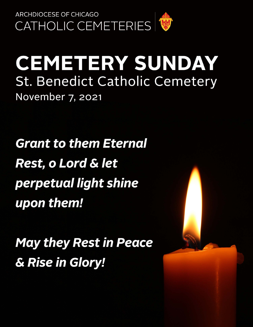

## **CEMETERY SUNDAY St. Benedict Catholic Cemetery** November 7, 2021

**Grant to them Eternal Rest, o Lord & let** perpetual light shine upon them!

**May they Rest in Peace** & Rise in Glory!

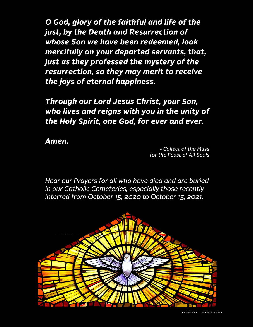O God, glory of the faithful and life of the just, by the Death and Resurrection of whose Son we have been redeemed, look mercifully on your departed servants, that, just as they professed the mystery of the resurrection, so they may merit to receive the joys of eternal happiness.

Through our Lord Jesus Christ, your Son, who lives and reigns with you in the unity of the Holy Spirit, one God, for ever and ever.

Amen.

- Collect of the Mass for the Feast of All Souls

Hear our Prayers for all who have died and are buried in our Catholic Cemeteries, especially those recently interred from October 15, 2020 to October 15, 2021.